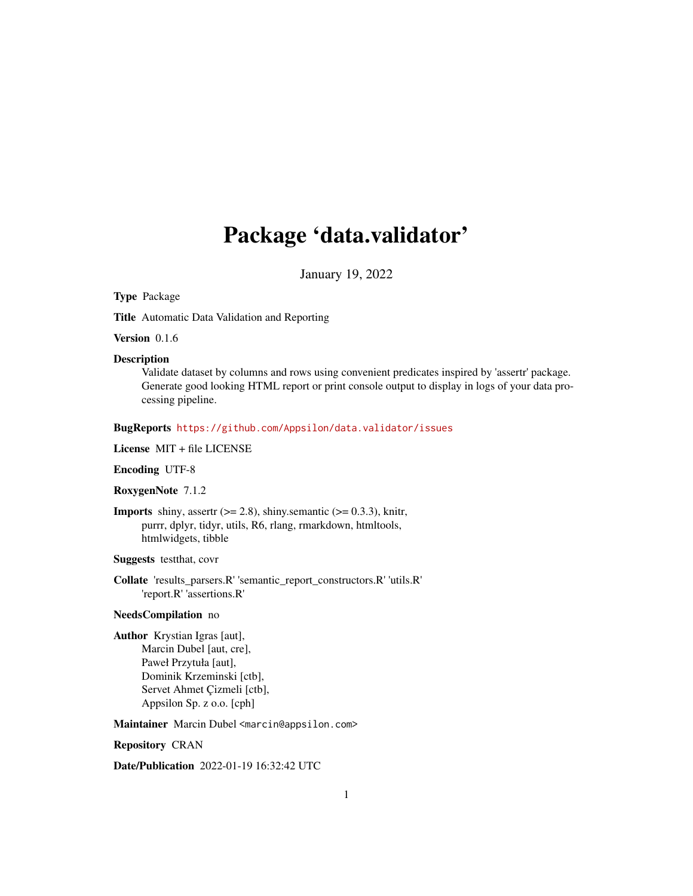# Package 'data.validator'

January 19, 2022

#### <span id="page-0-0"></span>Type Package

Title Automatic Data Validation and Reporting

Version 0.1.6

#### Description

Validate dataset by columns and rows using convenient predicates inspired by 'assertr' package. Generate good looking HTML report or print console output to display in logs of your data processing pipeline.

#### BugReports <https://github.com/Appsilon/data.validator/issues>

License MIT + file LICENSE

#### Encoding UTF-8

#### RoxygenNote 7.1.2

**Imports** shiny, assertr  $(>= 2.8)$ , shiny.semantic  $(>= 0.3.3)$ , knitr, purrr, dplyr, tidyr, utils, R6, rlang, rmarkdown, htmltools, htmlwidgets, tibble

Suggests testthat, covr

Collate 'results\_parsers.R' 'semantic\_report\_constructors.R' 'utils.R' 'report.R' 'assertions.R'

#### NeedsCompilation no

Author Krystian Igras [aut], Marcin Dubel [aut, cre], Paweł Przytuła [aut], Dominik Krzeminski [ctb], Servet Ahmet Çizmeli [ctb], Appsilon Sp. z o.o. [cph]

Maintainer Marcin Dubel <marcin@appsilon.com>

#### Repository CRAN

Date/Publication 2022-01-19 16:32:42 UTC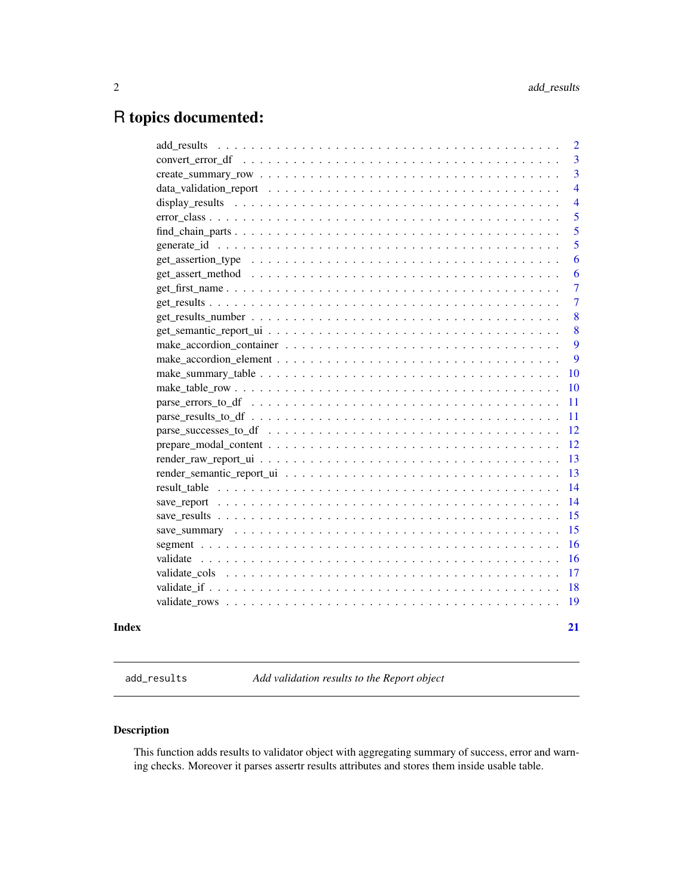## <span id="page-1-0"></span>R topics documented:

|       |                                                                                                                            | $\overline{2}$          |
|-------|----------------------------------------------------------------------------------------------------------------------------|-------------------------|
|       |                                                                                                                            | $\overline{3}$          |
|       |                                                                                                                            | $\overline{\mathbf{3}}$ |
|       |                                                                                                                            | $\overline{4}$          |
|       |                                                                                                                            | $\overline{4}$          |
|       | $error\_class \dots \dots \dots \dots \dots \dots \dots \dots \dots \dots \dots \dots \dots \dots \dots \dots \dots \dots$ | 5                       |
|       | $find\_chain\_parts \ldots \ldots \ldots \ldots \ldots \ldots \ldots \ldots \ldots \ldots \ldots \ldots \ldots$            | 5                       |
|       |                                                                                                                            | 5                       |
|       |                                                                                                                            | 6                       |
|       |                                                                                                                            | 6                       |
|       |                                                                                                                            | $\overline{7}$          |
|       |                                                                                                                            | $\overline{7}$          |
|       |                                                                                                                            | 8                       |
|       |                                                                                                                            | 8                       |
|       |                                                                                                                            | 9                       |
|       |                                                                                                                            | 9                       |
|       |                                                                                                                            | <b>10</b>               |
|       |                                                                                                                            | <b>10</b>               |
|       |                                                                                                                            | -11                     |
|       |                                                                                                                            | -11                     |
|       |                                                                                                                            | <sup>12</sup>           |
|       |                                                                                                                            | <sup>12</sup>           |
|       |                                                                                                                            | 13                      |
|       |                                                                                                                            | 13                      |
|       |                                                                                                                            | -14                     |
|       |                                                                                                                            | 14                      |
|       |                                                                                                                            | 15                      |
|       |                                                                                                                            | 15                      |
|       |                                                                                                                            | 16                      |
|       |                                                                                                                            | <sup>16</sup>           |
|       |                                                                                                                            |                         |
|       |                                                                                                                            |                         |
|       |                                                                                                                            |                         |
| Index |                                                                                                                            | 21                      |

<span id="page-1-1"></span>add\_results *Add validation results to the Report object*

#### Description

This function adds results to validator object with aggregating summary of success, error and warning checks. Moreover it parses assertr results attributes and stores them inside usable table.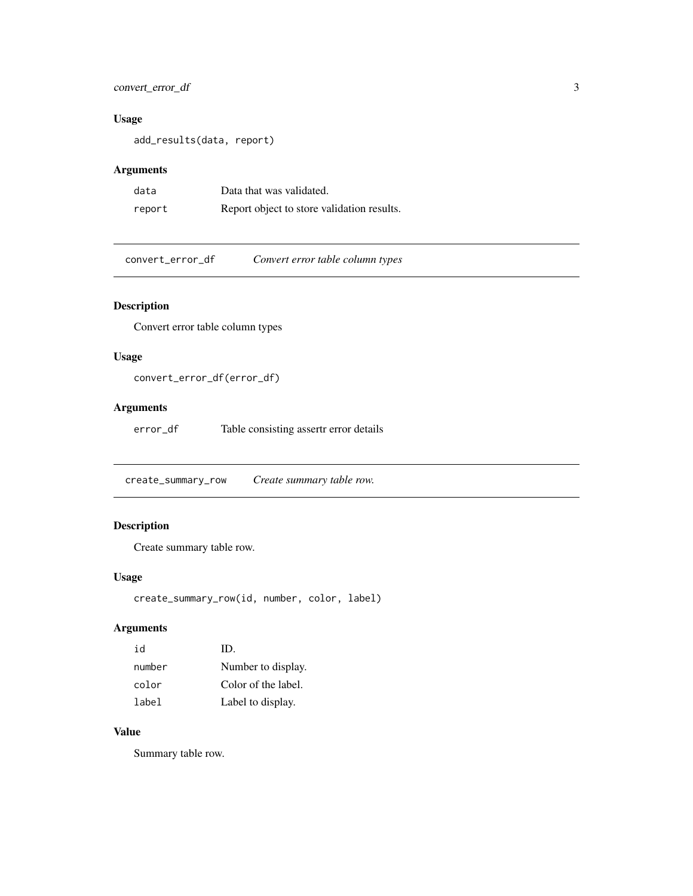#### <span id="page-2-0"></span>convert\_error\_df 3

#### Usage

add\_results(data, report)

#### Arguments

| data   | Data that was validated.                   |
|--------|--------------------------------------------|
| report | Report object to store validation results. |

convert\_error\_df *Convert error table column types*

#### Description

Convert error table column types

#### Usage

convert\_error\_df(error\_df)

#### Arguments

error\_df Table consisting assertr error details

create\_summary\_row *Create summary table row.*

#### Description

Create summary table row.

#### Usage

```
create_summary_row(id, number, color, label)
```
#### Arguments

| h i    | ID.                 |
|--------|---------------------|
| number | Number to display.  |
| color  | Color of the label. |
| label  | Label to display.   |

#### Value

Summary table row.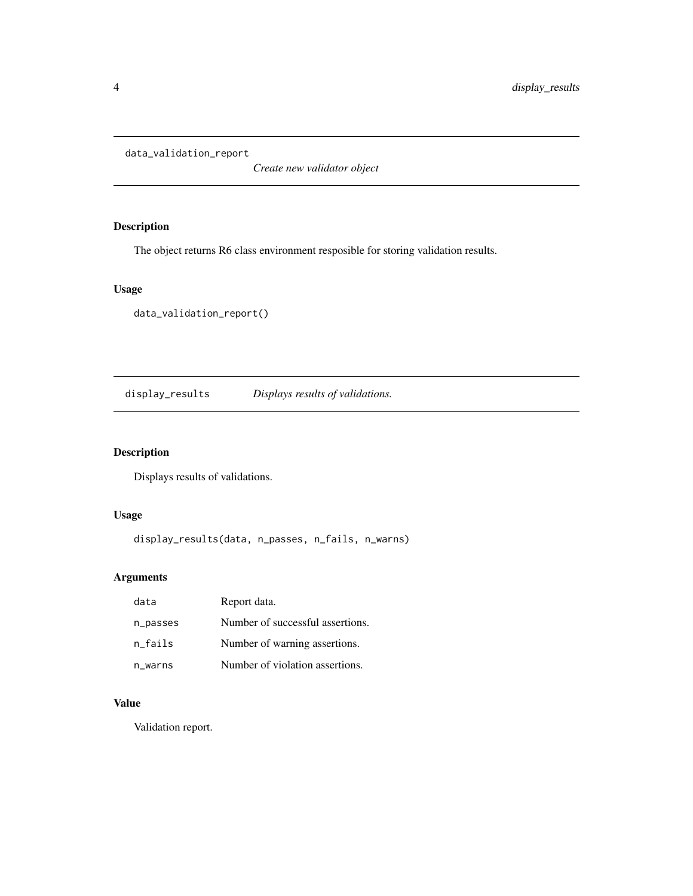<span id="page-3-0"></span>data\_validation\_report

*Create new validator object*

#### Description

The object returns R6 class environment resposible for storing validation results.

#### Usage

```
data_validation_report()
```
display\_results *Displays results of validations.*

#### Description

Displays results of validations.

#### Usage

```
display_results(data, n_passes, n_fails, n_warns)
```
#### Arguments

| data     | Report data.                     |
|----------|----------------------------------|
| n_passes | Number of successful assertions. |
| n fails  | Number of warning assertions.    |
| n_warns  | Number of violation assertions.  |

#### Value

Validation report.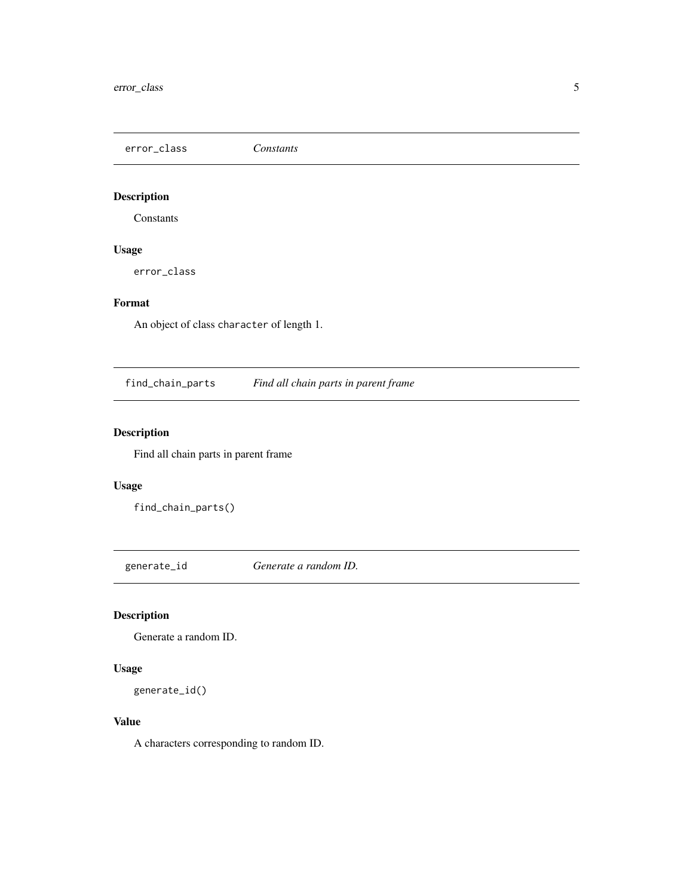<span id="page-4-0"></span>error\_class *Constants*

### Description

Constants

#### Usage

error\_class

#### Format

An object of class character of length 1.

find\_chain\_parts *Find all chain parts in parent frame*

#### Description

Find all chain parts in parent frame

#### Usage

find\_chain\_parts()

generate\_id *Generate a random ID.*

#### Description

Generate a random ID.

#### Usage

generate\_id()

#### Value

A characters corresponding to random ID.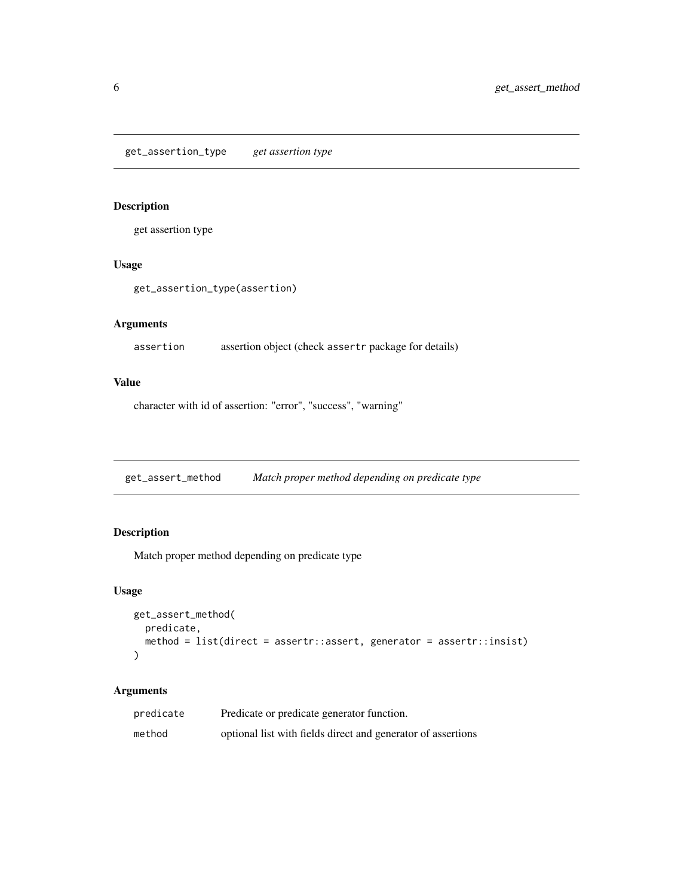#### <span id="page-5-0"></span>Description

get assertion type

#### Usage

get\_assertion\_type(assertion)

#### Arguments

assertion assertion object (check assertr package for details)

#### Value

character with id of assertion: "error", "success", "warning"

get\_assert\_method *Match proper method depending on predicate type*

#### Description

Match proper method depending on predicate type

#### Usage

```
get_assert_method(
 predicate,
 method = list(direct = assertr::assert, generator = assertr::insist)
)
```

| predicate | Predicate or predicate generator function.                   |
|-----------|--------------------------------------------------------------|
| method    | optional list with fields direct and generator of assertions |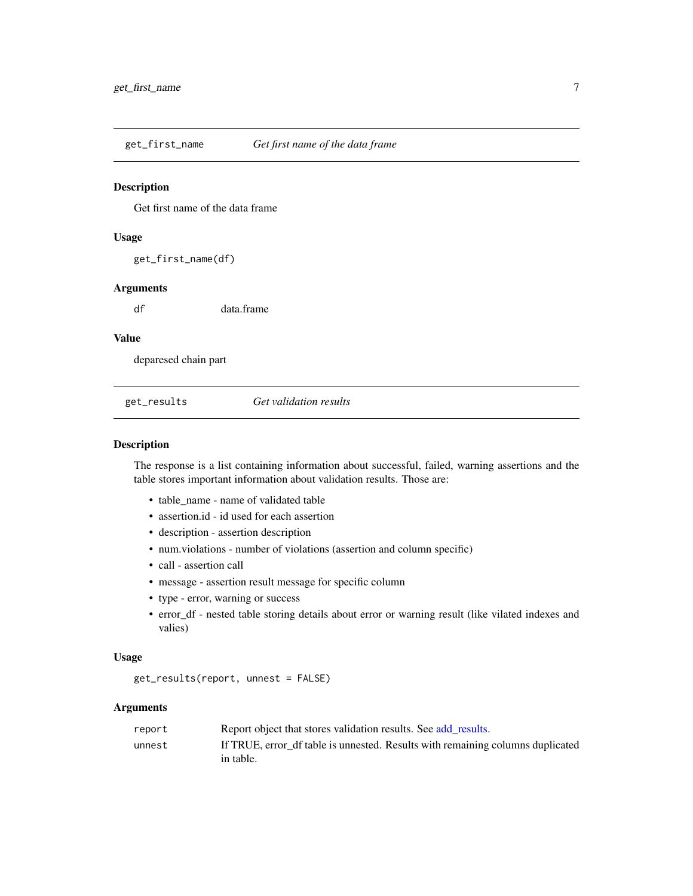<span id="page-6-0"></span>get\_first\_name *Get first name of the data frame*

#### Description

Get first name of the data frame

#### Usage

get\_first\_name(df)

#### Arguments

df data.frame

#### Value

deparesed chain part

<span id="page-6-1"></span>get\_results *Get validation results*

#### Description

The response is a list containing information about successful, failed, warning assertions and the table stores important information about validation results. Those are:

- table\_name name of validated table
- assertion.id id used for each assertion
- description assertion description
- num.violations number of violations (assertion and column specific)
- call assertion call
- message assertion result message for specific column
- type error, warning or success
- error\_df nested table storing details about error or warning result (like vilated indexes and valies)

#### Usage

```
get_results(report, unnest = FALSE)
```

| report | Report object that stores validation results. See add results.                 |
|--------|--------------------------------------------------------------------------------|
| unnest | If TRUE, error df table is unnested. Results with remaining columns duplicated |
|        | in table.                                                                      |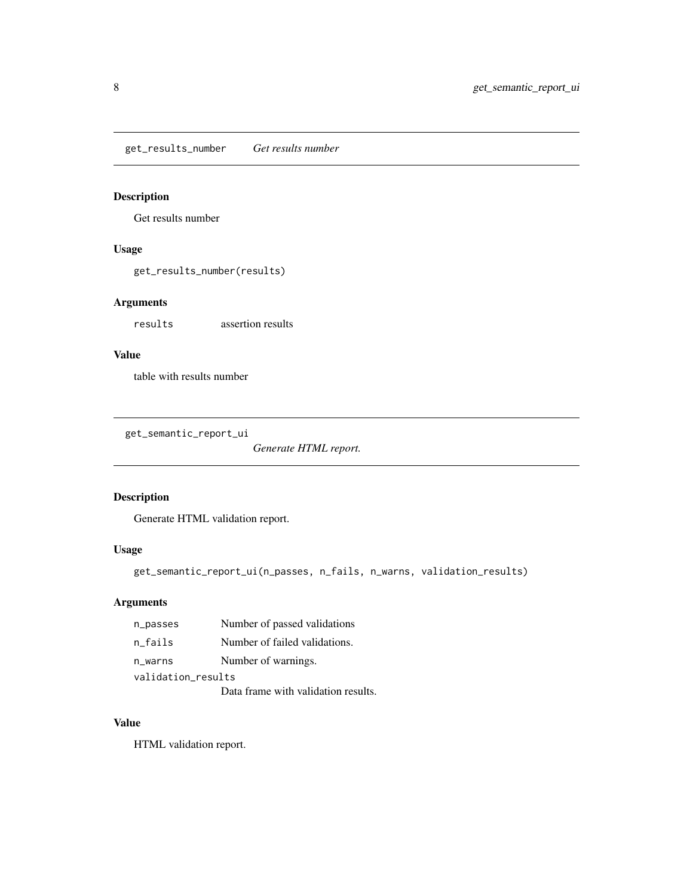<span id="page-7-0"></span>get\_results\_number *Get results number*

#### Description

Get results number

#### Usage

get\_results\_number(results)

#### Arguments

results assertion results

#### Value

table with results number

get\_semantic\_report\_ui

*Generate HTML report.*

#### Description

Generate HTML validation report.

#### Usage

```
get_semantic_report_ui(n_passes, n_fails, n_warns, validation_results)
```
#### Arguments

| n_passes           | Number of passed validations        |  |
|--------------------|-------------------------------------|--|
| n fails            | Number of failed validations.       |  |
| n_warns            | Number of warnings.                 |  |
| validation_results |                                     |  |
|                    | Data frame with validation results. |  |

#### Value

HTML validation report.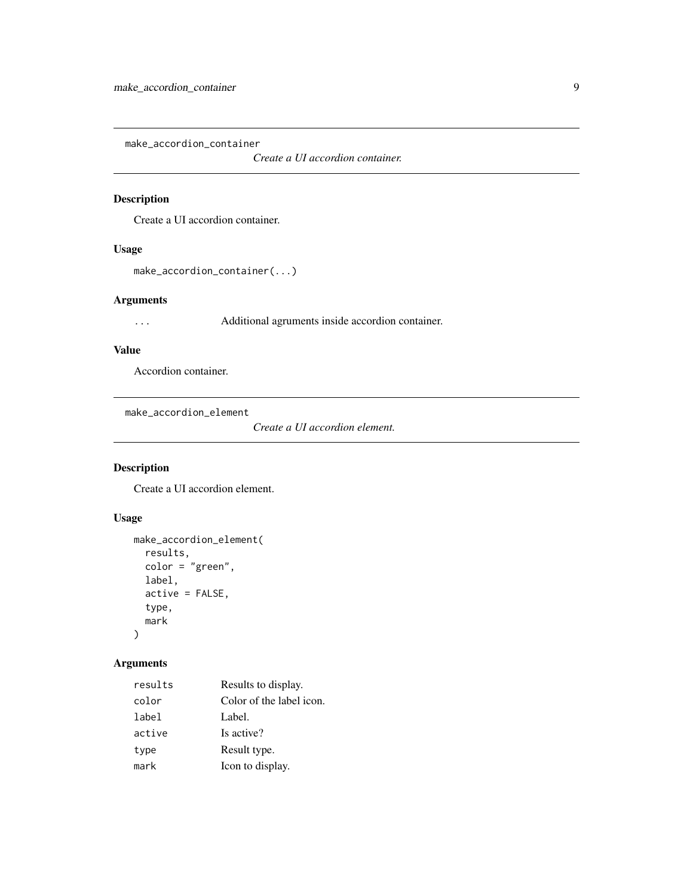<span id="page-8-0"></span>make\_accordion\_container

*Create a UI accordion container.*

#### Description

Create a UI accordion container.

#### Usage

```
make_accordion_container(...)
```
#### Arguments

... Additional agruments inside accordion container.

#### Value

Accordion container.

make\_accordion\_element

*Create a UI accordion element.*

#### Description

Create a UI accordion element.

#### Usage

```
make_accordion_element(
 results,
  color = "green",
 label,
 active = FALSE,
  type,
  mark
)
```

| results | Results to display.      |
|---------|--------------------------|
| color   | Color of the label icon. |
| label   | Label.                   |
| active  | Is active?               |
| type    | Result type.             |
| mark    | Icon to display.         |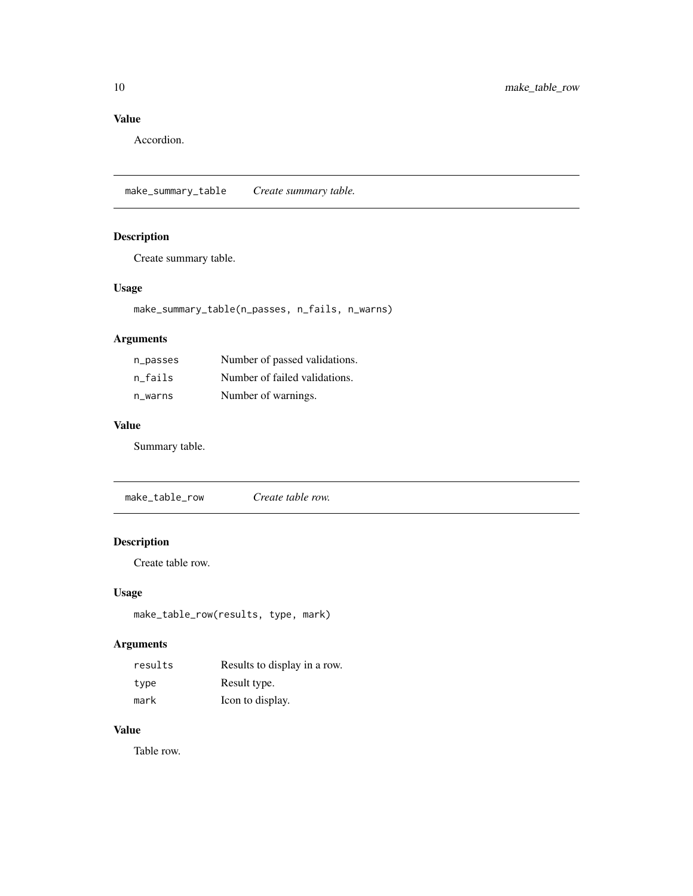#### <span id="page-9-0"></span>Value

Accordion.

make\_summary\_table *Create summary table.*

#### Description

Create summary table.

#### Usage

make\_summary\_table(n\_passes, n\_fails, n\_warns)

#### Arguments

| n_passes | Number of passed validations. |
|----------|-------------------------------|
| n fails  | Number of failed validations. |
| n warns  | Number of warnings.           |

#### Value

Summary table.

make\_table\_row *Create table row.*

#### Description

Create table row.

#### Usage

make\_table\_row(results, type, mark)

#### Arguments

| results | Results to display in a row. |
|---------|------------------------------|
| type    | Result type.                 |
| mark    | Icon to display.             |

#### Value

Table row.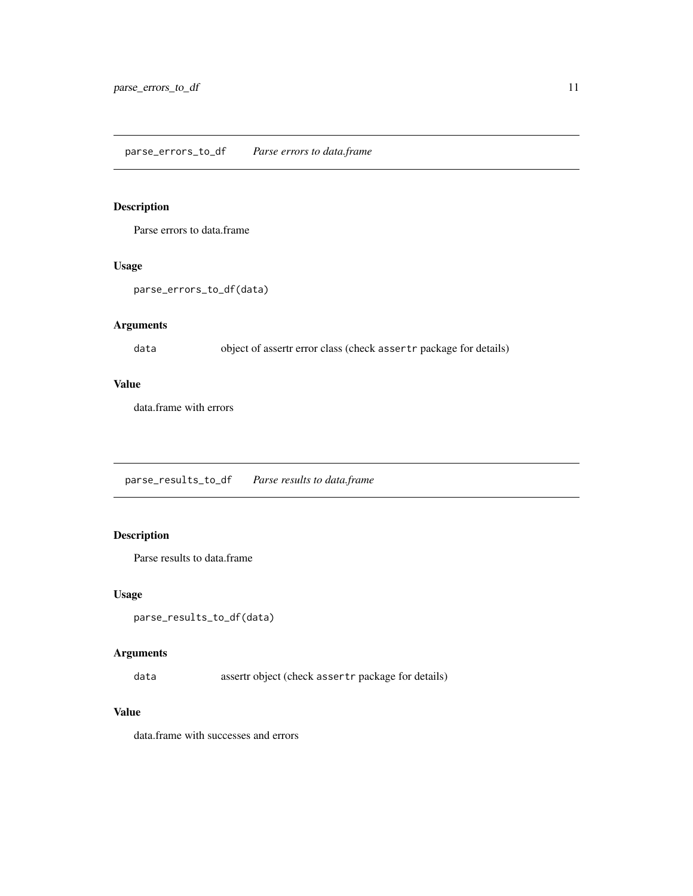#### <span id="page-10-0"></span>parse\_errors\_to\_df *Parse errors to data.frame*

#### Description

Parse errors to data.frame

#### Usage

```
parse_errors_to_df(data)
```
#### Arguments

data object of assertr error class (check assertr package for details)

#### Value

data.frame with errors

parse\_results\_to\_df *Parse results to data.frame*

#### Description

Parse results to data.frame

### Usage

```
parse_results_to_df(data)
```
#### Arguments

data assertr object (check assertr package for details)

#### Value

data.frame with successes and errors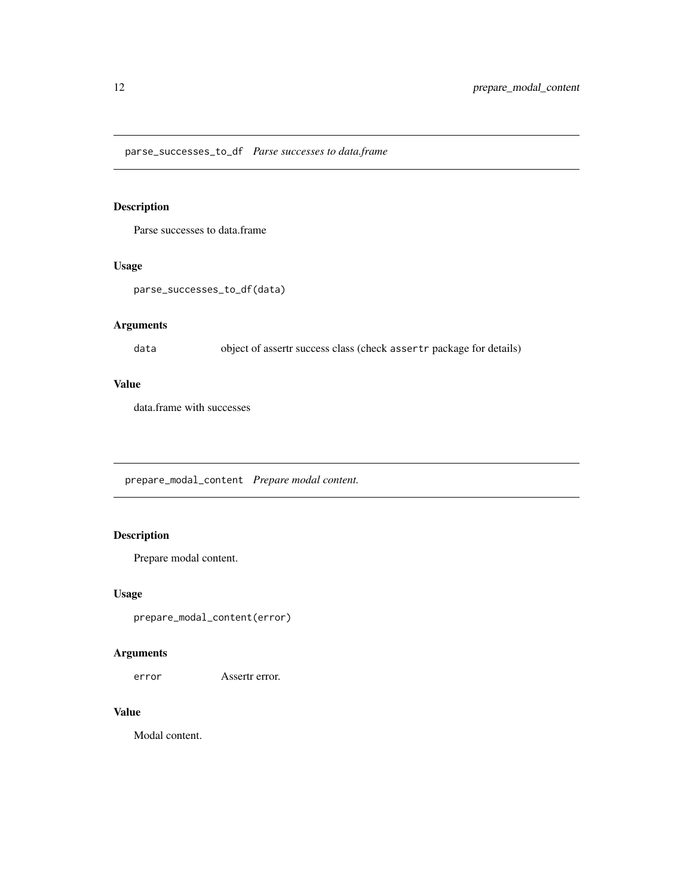<span id="page-11-0"></span>parse\_successes\_to\_df *Parse successes to data.frame*

#### Description

Parse successes to data.frame

#### Usage

```
parse_successes_to_df(data)
```
#### Arguments

data object of assertr success class (check assertr package for details)

#### Value

data.frame with successes

prepare\_modal\_content *Prepare modal content.*

#### Description

Prepare modal content.

#### Usage

```
prepare_modal_content(error)
```
#### Arguments

error Assertr error.

#### Value

Modal content.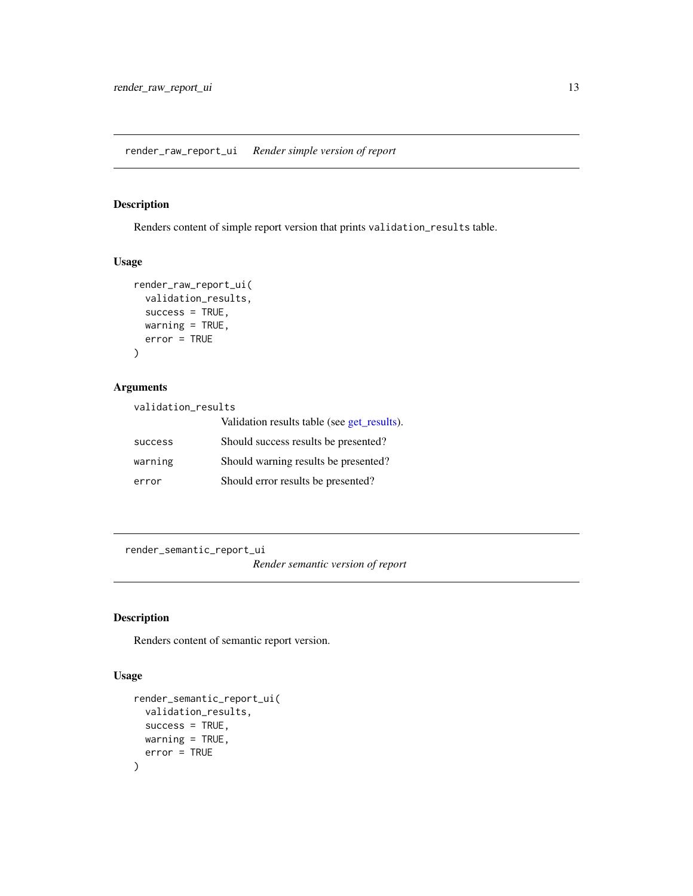#### <span id="page-12-0"></span>Description

Renders content of simple report version that prints validation\_results table.

#### Usage

```
render_raw_report_ui(
  validation_results,
 success = TRUE,
 warning = TRUE,
 error = TRUE
)
```
#### Arguments

validation\_results

|                | Validation results table (see get_results). |
|----------------|---------------------------------------------|
| <b>SUCCESS</b> | Should success results be presented?        |
| warning        | Should warning results be presented?        |
| error          | Should error results be presented?          |

render\_semantic\_report\_ui

*Render semantic version of report*

#### Description

Renders content of semantic report version.

#### Usage

```
render_semantic_report_ui(
  validation_results,
  success = TRUE,
  warning = TRUE,
  error = TRUE
\mathcal{E}
```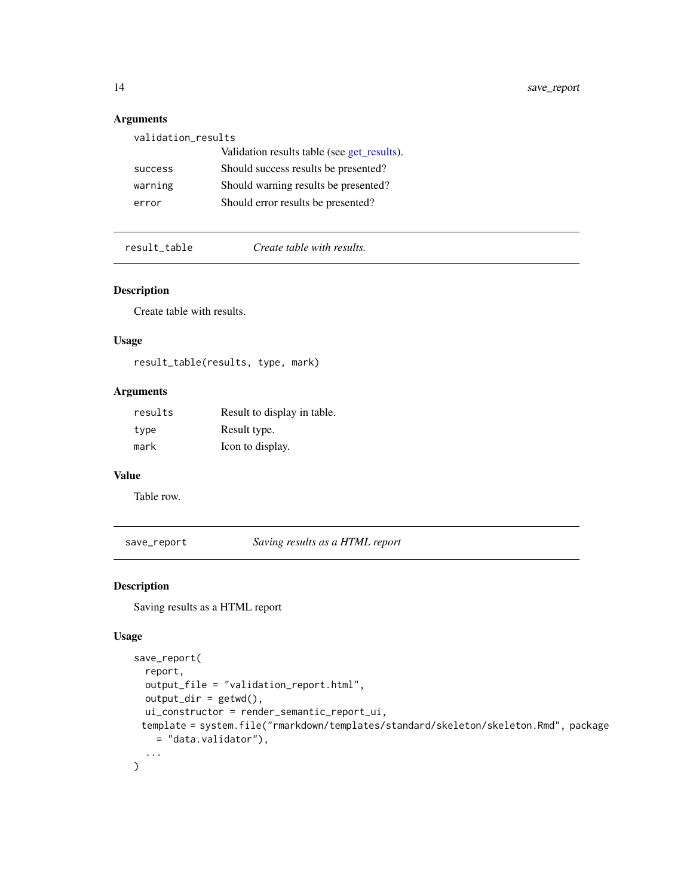#### Arguments

| validation_results |                                             |  |
|--------------------|---------------------------------------------|--|
|                    | Validation results table (see get_results). |  |
| success            | Should success results be presented?        |  |
| warning            | Should warning results be presented?        |  |
| error              | Should error results be presented?          |  |
|                    |                                             |  |

result\_table *Create table with results.*

#### Description

Create table with results.

#### Usage

result\_table(results, type, mark)

#### Arguments

| results | Result to display in table. |
|---------|-----------------------------|
| type    | Result type.                |
| mark    | Icon to display.            |

#### Value

Table row.

save\_report *Saving results as a HTML report*

#### Description

Saving results as a HTML report

#### Usage

```
save_report(
  report,
  output_file = "validation_report.html",
 output\_dir = getwd(),
 ui_constructor = render_semantic_report_ui,
 template = system.file("rmarkdown/templates/standard/skeleton/skeleton.Rmd", package
    = "data.validator"),
  ...
\mathcal{L}
```
<span id="page-13-0"></span>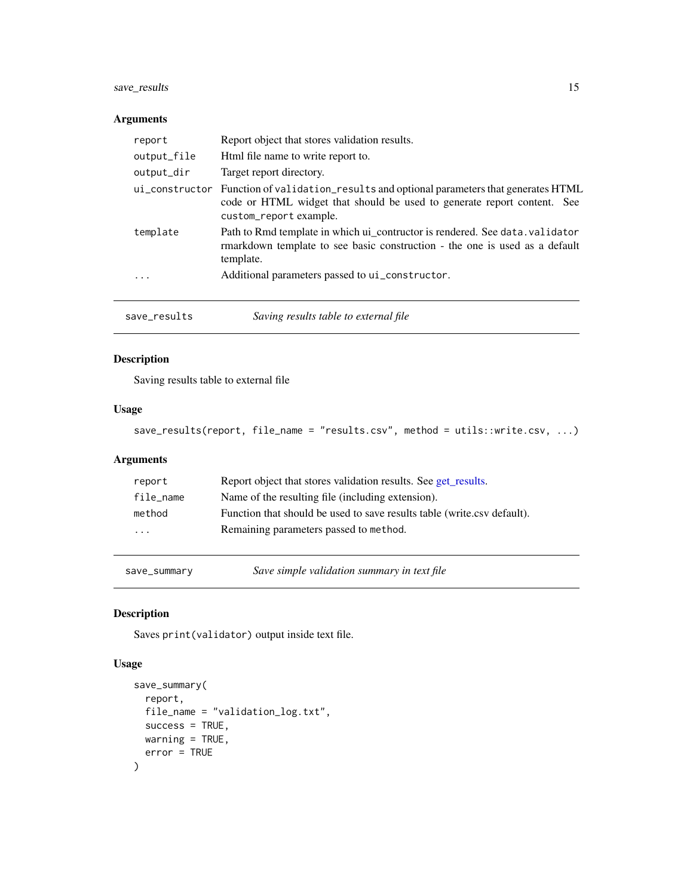#### <span id="page-14-0"></span>save\_results 15

#### Arguments

| report      | Report object that stores validation results.                                                                                                                                                  |
|-------------|------------------------------------------------------------------------------------------------------------------------------------------------------------------------------------------------|
| output_file | Html file name to write report to.                                                                                                                                                             |
| output_dir  | Target report directory.                                                                                                                                                                       |
|             | ui_constructor Function of validation_results and optional parameters that generates HTML<br>code or HTML widget that should be used to generate report content. See<br>custom_report example. |
| template    | Path to Rmd template in which ui_contructor is rendered. See data. validator<br>rmarkdown template to see basic construction - the one is used as a default<br>template.                       |
| .           | Additional parameters passed to ui_constructor.                                                                                                                                                |

| save_results | Saving results table to external file |  |
|--------------|---------------------------------------|--|
|--------------|---------------------------------------|--|

#### Description

Saving results table to external file

#### Usage

```
save_results(report, file_name = "results.csv", method = utils::write.csv, ...)
```
#### Arguments

| report                  | Report object that stores validation results. See get_results.          |
|-------------------------|-------------------------------------------------------------------------|
| file_name               | Name of the resulting file (including extension).                       |
| method                  | Function that should be used to save results table (write.csv default). |
| $\cdot$ $\cdot$ $\cdot$ | Remaining parameters passed to method.                                  |
|                         |                                                                         |

save\_summary *Save simple validation summary in text file*

#### Description

Saves print(validator) output inside text file.

#### Usage

```
save_summary(
 report,
 file_name = "validation_log.txt",
 success = TRUE,warning = TRUE,
  error = TRUE
\mathcal{E}
```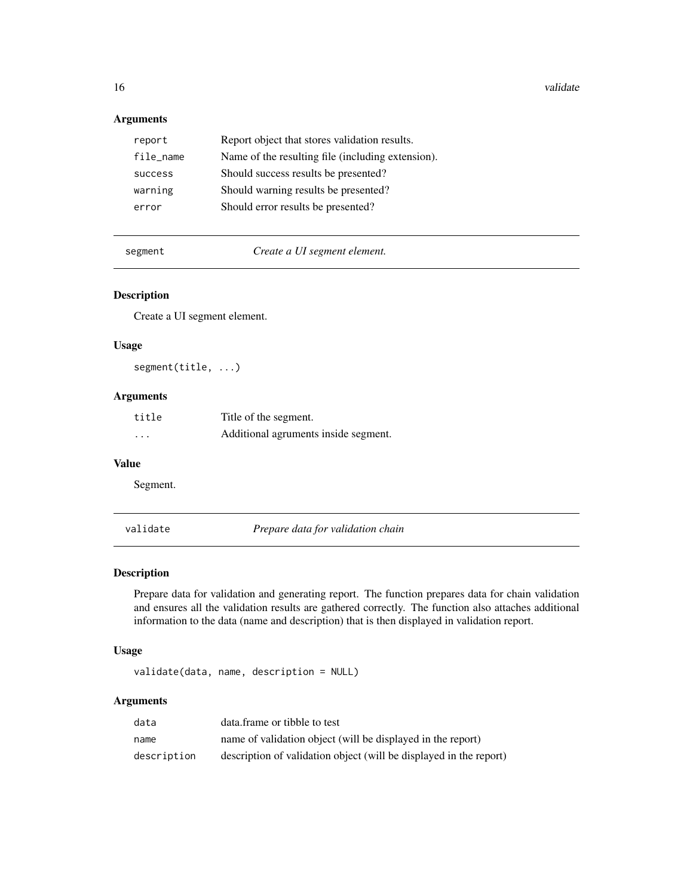16 validate values of the contract of the contract of the contract of the contract of the contract of the contract of the contract of the contract of the contract of the contract of the contract of the contract of the cont

#### Arguments

| report    | Report object that stores validation results.     |
|-----------|---------------------------------------------------|
| file_name | Name of the resulting file (including extension). |
| success   | Should success results be presented?              |
| warning   | Should warning results be presented?              |
| error     | Should error results be presented?                |
|           |                                                   |

segment *Create a UI segment element.*

#### Description

Create a UI segment element.

#### Usage

segment(title, ...)

#### Arguments

| title    | Title of the segment.                |
|----------|--------------------------------------|
| $\cdots$ | Additional agruments inside segment. |

#### Value

Segment.

<span id="page-15-1"></span>validate *Prepare data for validation chain*

#### Description

Prepare data for validation and generating report. The function prepares data for chain validation and ensures all the validation results are gathered correctly. The function also attaches additional information to the data (name and description) that is then displayed in validation report.

#### Usage

validate(data, name, description = NULL)

| data        | data.frame or tibble to test                                       |
|-------------|--------------------------------------------------------------------|
| name        | name of validation object (will be displayed in the report)        |
| description | description of validation object (will be displayed in the report) |

<span id="page-15-0"></span>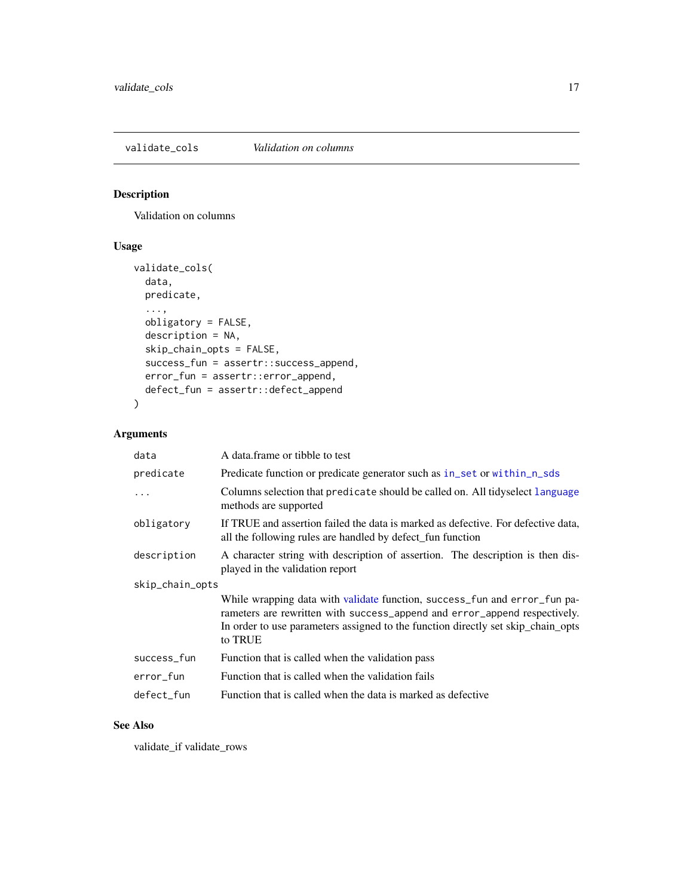<span id="page-16-1"></span><span id="page-16-0"></span>validate\_cols *Validation on columns*

#### Description

Validation on columns

#### Usage

```
validate_cols(
 data,
 predicate,
  ...,
 obligatory = FALSE,
 description = NA,
 skip_chain_opts = FALSE,
 success_fun = assertr::success_append,
 error_fun = assertr::error_append,
 defect_fun = assertr::defect_append
)
```
#### Arguments

| data            | A data frame or tibble to test                                                                                                                                                                                                                        |
|-----------------|-------------------------------------------------------------------------------------------------------------------------------------------------------------------------------------------------------------------------------------------------------|
| predicate       | Predicate function or predicate generator such as in_set or within_n_sds                                                                                                                                                                              |
| $\ddots$        | Columns selection that predicate should be called on. All tidyselect language<br>methods are supported                                                                                                                                                |
| obligatory      | If TRUE and assertion failed the data is marked as defective. For defective data,<br>all the following rules are handled by defect_fun function                                                                                                       |
| description     | A character string with description of assertion. The description is then dis-<br>played in the validation report                                                                                                                                     |
| skip_chain_opts |                                                                                                                                                                                                                                                       |
|                 | While wrapping data with validate function, success_fun and error_fun pa-<br>rameters are rewritten with success_append and error_append respectively.<br>In order to use parameters assigned to the function directly set skip_chain_opts<br>to TRUE |
| success_fun     | Function that is called when the validation pass                                                                                                                                                                                                      |
| error_fun       | Function that is called when the validation fails                                                                                                                                                                                                     |
| defect fun      | Function that is called when the data is marked as defective                                                                                                                                                                                          |

#### See Also

validate\_if validate\_rows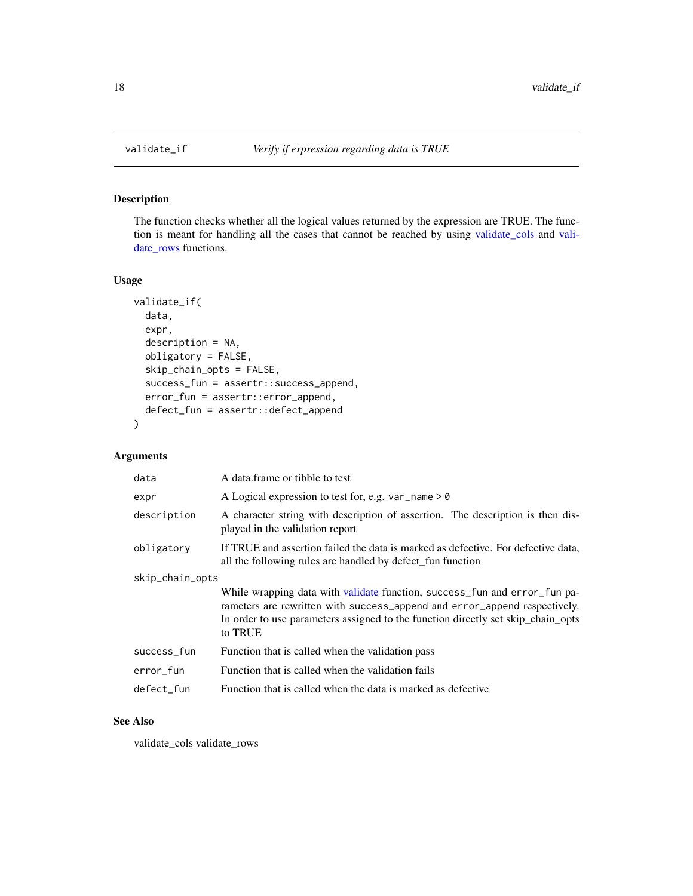<span id="page-17-0"></span>

#### Description

The function checks whether all the logical values returned by the expression are TRUE. The function is meant for handling all the cases that cannot be reached by using [validate\\_cols](#page-16-1) and [vali](#page-18-1)[date\\_rows](#page-18-1) functions.

#### Usage

```
validate_if(
  data,
  expr,
  description = NA,
  obligatory = FALSE,
  skip_chain_opts = FALSE,
  success_fun = assertr::success_append,
  error_fun = assertr::error_append,
  defect_fun = assertr::defect_append
\mathcal{E}
```
#### Arguments

| data            | A data frame or tibble to test                                                                                                                                                                                                                        |
|-----------------|-------------------------------------------------------------------------------------------------------------------------------------------------------------------------------------------------------------------------------------------------------|
| expr            | A Logical expression to test for, e.g. var_name $> 0$                                                                                                                                                                                                 |
| description     | A character string with description of assertion. The description is then dis-<br>played in the validation report                                                                                                                                     |
| obligatory      | If TRUE and assertion failed the data is marked as defective. For defective data,<br>all the following rules are handled by defect_fun function                                                                                                       |
| skip_chain_opts |                                                                                                                                                                                                                                                       |
|                 | While wrapping data with validate function, success fun and error fun pa-<br>rameters are rewritten with success_append and error_append respectively.<br>In order to use parameters assigned to the function directly set skip_chain_opts<br>to TRUE |
| success_fun     | Function that is called when the validation pass                                                                                                                                                                                                      |
| error_fun       | Function that is called when the validation fails                                                                                                                                                                                                     |
| defect fun      | Function that is called when the data is marked as defective                                                                                                                                                                                          |
|                 |                                                                                                                                                                                                                                                       |

#### See Also

validate\_cols validate\_rows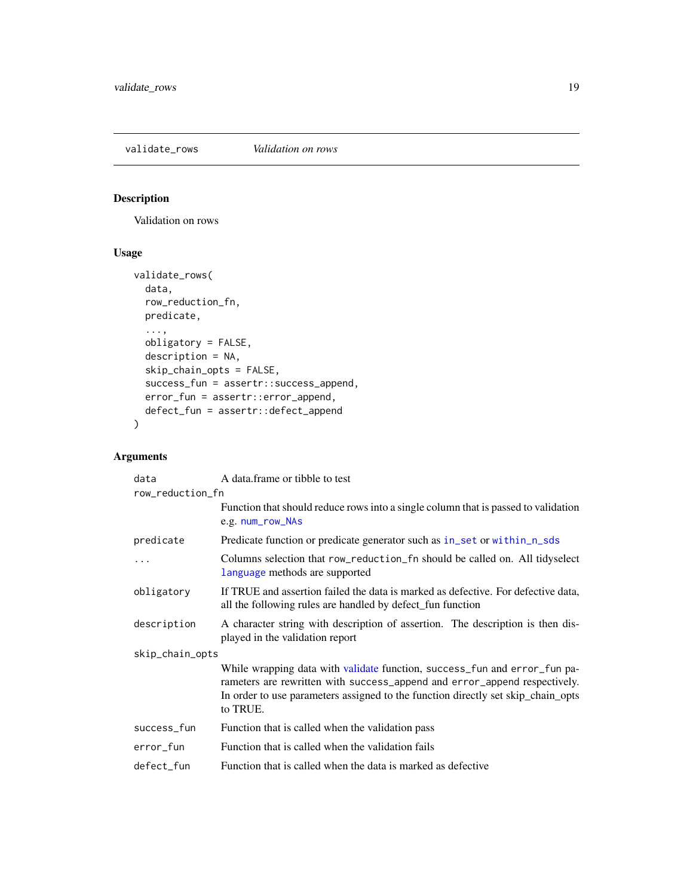<span id="page-18-1"></span><span id="page-18-0"></span>validate\_rows *Validation on rows*

#### Description

Validation on rows

#### Usage

```
validate_rows(
  data,
  row_reduction_fn,
  predicate,
  ...,
  obligatory = FALSE,
  description = NA,
  skip_chain_opts = FALSE,
  success_fun = assertr::success_append,
  error_fun = assertr::error_append,
  defect_fun = assertr::defect_append
\mathcal{E}
```

| data             | A data frame or tibble to test                                                                                                                                                                                                                         |  |
|------------------|--------------------------------------------------------------------------------------------------------------------------------------------------------------------------------------------------------------------------------------------------------|--|
| row_reduction_fn |                                                                                                                                                                                                                                                        |  |
|                  | Function that should reduce rows into a single column that is passed to validation<br>e.g. num_row_NAs                                                                                                                                                 |  |
| predicate        | Predicate function or predicate generator such as in_set or within_n_sds                                                                                                                                                                               |  |
|                  | Columns selection that row_reduction_fn should be called on. All tidyselect<br>language methods are supported                                                                                                                                          |  |
| obligatory       | If TRUE and assertion failed the data is marked as defective. For defective data,<br>all the following rules are handled by defect_fun function                                                                                                        |  |
| description      | A character string with description of assertion. The description is then dis-<br>played in the validation report                                                                                                                                      |  |
| skip_chain_opts  |                                                                                                                                                                                                                                                        |  |
|                  | While wrapping data with validate function, success_fun and error_fun pa-<br>rameters are rewritten with success_append and error_append respectively.<br>In order to use parameters assigned to the function directly set skip_chain_opts<br>to TRUE. |  |
| success_fun      | Function that is called when the validation pass                                                                                                                                                                                                       |  |
| error_fun        | Function that is called when the validation fails                                                                                                                                                                                                      |  |
| defect_fun       | Function that is called when the data is marked as defective                                                                                                                                                                                           |  |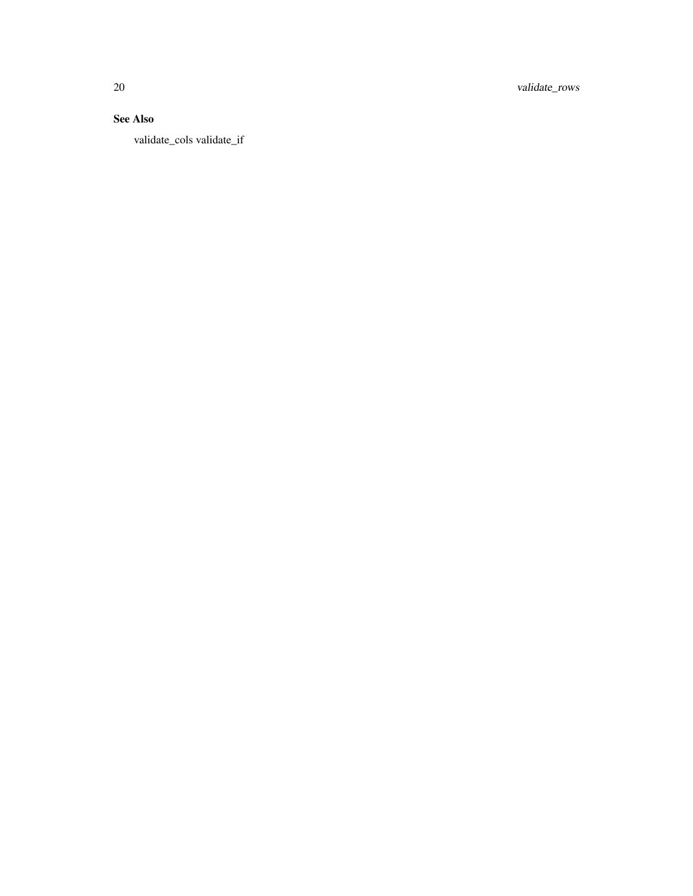20 validate\_rows

### See Also

validate\_cols validate\_if